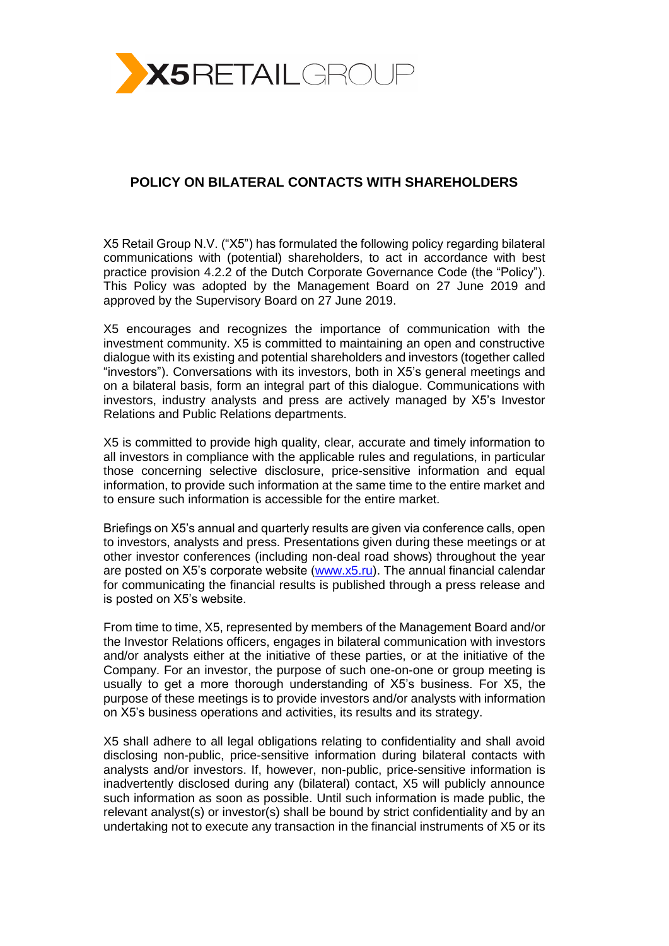

## **POLICY ON BILATERAL CONTACTS WITH SHAREHOLDERS**

X5 Retail Group N.V. ("X5") has formulated the following policy regarding bilateral communications with (potential) shareholders, to act in accordance with best practice provision 4.2.2 of the Dutch Corporate Governance Code (the "Policy"). This Policy was adopted by the Management Board on 27 June 2019 and approved by the Supervisory Board on 27 June 2019.

X5 encourages and recognizes the importance of communication with the investment community. X5 is committed to maintaining an open and constructive dialogue with its existing and potential shareholders and investors (together called "investors"). Conversations with its investors, both in X5's general meetings and on a bilateral basis, form an integral part of this dialogue. Communications with investors, industry analysts and press are actively managed by X5's Investor Relations and Public Relations departments.

X5 is committed to provide high quality, clear, accurate and timely information to all investors in compliance with the applicable rules and regulations, in particular those concerning selective disclosure, price-sensitive information and equal information, to provide such information at the same time to the entire market and to ensure such information is accessible for the entire market.

Briefings on X5's annual and quarterly results are given via conference calls, open to investors, analysts and press. Presentations given during these meetings or at other investor conferences (including non-deal road shows) throughout the year are posted on X5's corporate website [\(www.x5.ru\)](http://www.x5.ru/). The annual financial calendar for communicating the financial results is published through a press release and is posted on X5's website.

From time to time, X5, represented by members of the Management Board and/or the Investor Relations officers, engages in bilateral communication with investors and/or analysts either at the initiative of these parties, or at the initiative of the Company. For an investor, the purpose of such one-on-one or group meeting is usually to get a more thorough understanding of X5's business. For X5, the purpose of these meetings is to provide investors and/or analysts with information on X5's business operations and activities, its results and its strategy.

X5 shall adhere to all legal obligations relating to confidentiality and shall avoid disclosing non-public, price-sensitive information during bilateral contacts with analysts and/or investors. If, however, non-public, price-sensitive information is inadvertently disclosed during any (bilateral) contact, X5 will publicly announce such information as soon as possible. Until such information is made public, the relevant analyst(s) or investor(s) shall be bound by strict confidentiality and by an undertaking not to execute any transaction in the financial instruments of X5 or its